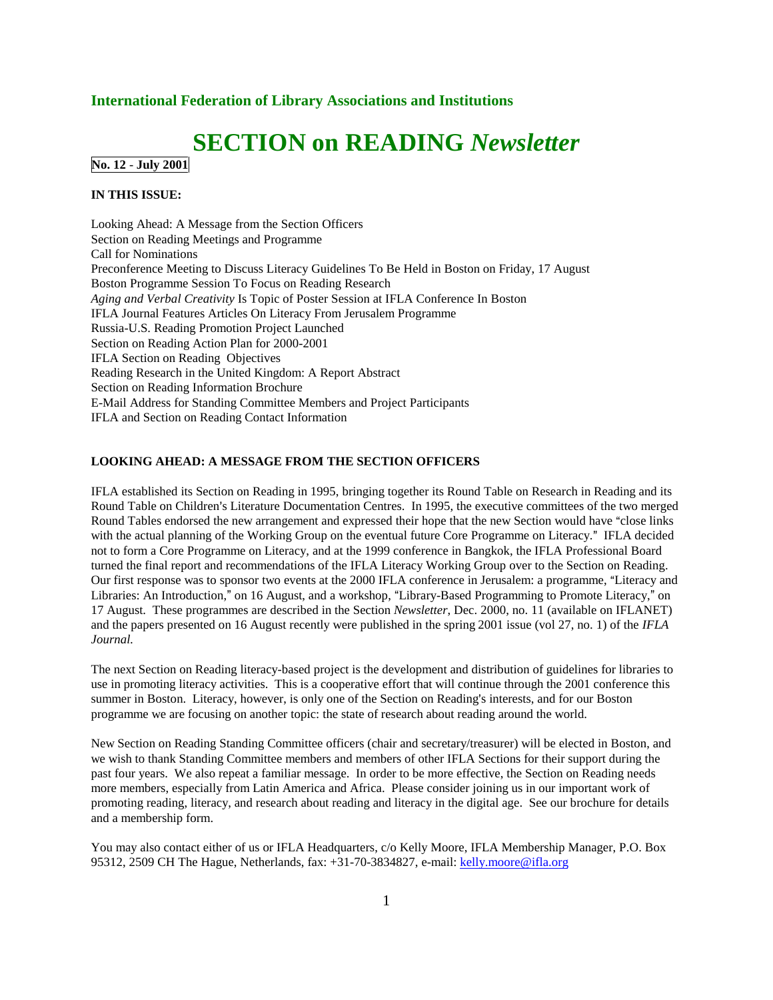#### **International Federation of Library Associations and Institutions**

# **SECTION on READING** *Newsletter*

**No. 12** - **July 2001**

#### **IN THIS ISSUE:**

Looking Ahead: A Message from the Section Officers Section on Reading Meetings and Programme Call for Nominations Preconference Meeting to Discuss Literacy Guidelines To Be Held in Boston on Friday, 17 August Boston Programme Session To Focus on Reading Research *Aging and Verbal Creativity* Is Topic of Poster Session at IFLA Conference In Boston IFLA Journal Features Articles On Literacy From Jerusalem Programme Russia-U.S. Reading Promotion Project Launched Section on Reading Action Plan for 2000-2001 IFLA Section on Reading Objectives Reading Research in the United Kingdom: A Report Abstract Section on Reading Information Brochure E-Mail Address for Standing Committee Members and Project Participants IFLA and Section on Reading Contact Information

#### **LOOKING AHEAD: A MESSAGE FROM THE SECTION OFFICERS**

IFLA established its Section on Reading in 1995, bringing together its Round Table on Research in Reading and its Round Table on Children's Literature Documentation Centres. In 1995, the executive committees of the two merged Round Tables endorsed the new arrangement and expressed their hope that the new Section would have "close links" with the actual planning of the Working Group on the eventual future Core Programme on Literacy." IFLA decided not to form a Core Programme on Literacy, and at the 1999 conference in Bangkok, the IFLA Professional Board turned the final report and recommendations of the IFLA Literacy Working Group over to the Section on Reading. Our first response was to sponsor two events at the 2000 IFLA conference in Jerusalem: a programme, "Literacy and Libraries: An Introduction," on 16 August, and a workshop, "Library-Based Programming to Promote Literacy," on 17 August. These programmes are described in the Section *Newsletter*, Dec. 2000, no. 11 (available on IFLANET) and the papers presented on 16 August recently were published in the spring 2001 issue (vol 27, no. 1) of the *IFLA Journal.*

The next Section on Reading literacy-based project is the development and distribution of guidelines for libraries to use in promoting literacy activities. This is a cooperative effort that will continue through the 2001 conference this summer in Boston. Literacy, however, is only one of the Section on Reading's interests, and for our Boston programme we are focusing on another topic: the state of research about reading around the world.

New Section on Reading Standing Committee officers (chair and secretary/treasurer) will be elected in Boston, and we wish to thank Standing Committee members and members of other IFLA Sections for their support during the past four years. We also repeat a familiar message. In order to be more effective, the Section on Reading needs more members, especially from Latin America and Africa. Please consider joining us in our important work of promoting reading, literacy, and research about reading and literacy in the digital age. See our brochure for details and a membership form.

You may also contact either of us or IFLA Headquarters, c/o Kelly Moore, IFLA Membership Manager, P.O. Box 95312, 2509 CH The Hague, Netherlands, fax: +31-70-3834827, e-mail: kelly.moore@ifla.org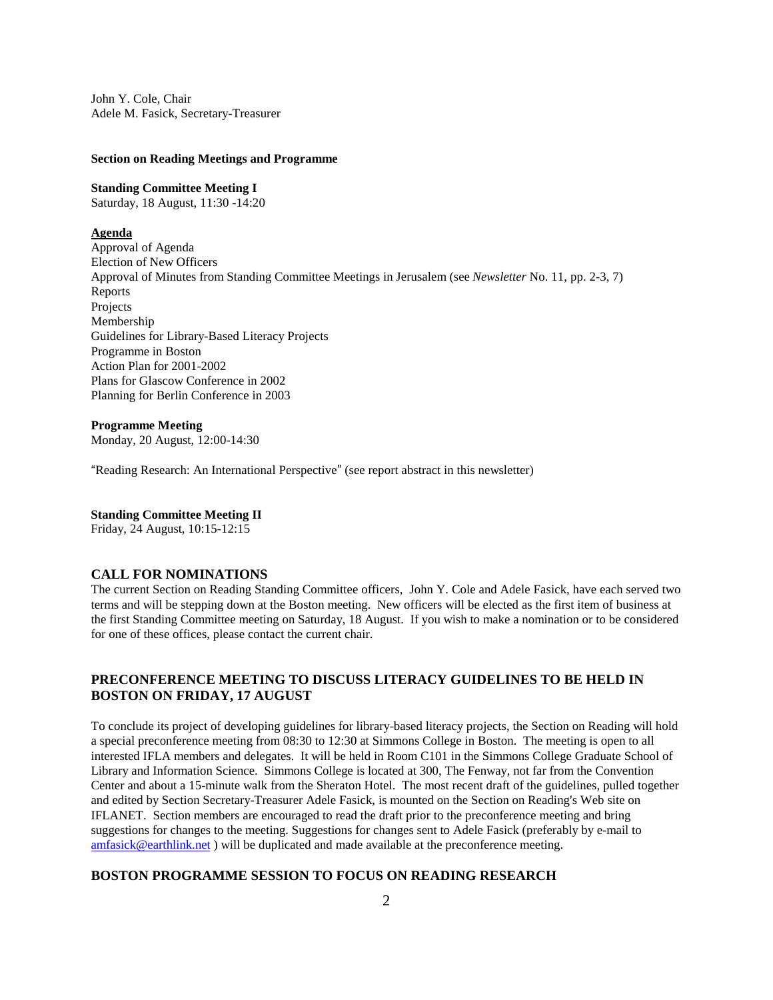John Y. Cole, Chair Adele M. Fasick, Secretary-Treasurer

#### **Section on Reading Meetings and Programme**

#### **Standing Committee Meeting I**

Saturday, 18 August, 11:30 -14:20

# **Agenda**

Approval of Agenda Election of New Officers Approval of Minutes from Standing Committee Meetings in Jerusalem (see *Newsletter* No. 11, pp. 2-3, 7) Reports Projects Membership Guidelines for Library-Based Literacy Projects Programme in Boston Action Plan for 2001-2002 Plans for Glascow Conference in 2002 Planning for Berlin Conference in 2003

# **Programme Meeting**

Monday, 20 August, 12:00-14:30

"Reading Research: An International Perspective" (see report abstract in this newsletter)

#### **Standing Committee Meeting II**

Friday, 24 August, 10:15-12:15

#### **CALL FOR NOMINATIONS**

The current Section on Reading Standing Committee officers, John Y. Cole and Adele Fasick, have each served two terms and will be stepping down at the Boston meeting. New officers will be elected as the first item of business at the first Standing Committee meeting on Saturday, 18 August. If you wish to make a nomination or to be considered for one of these offices, please contact the current chair.

# **PRECONFERENCE MEETING TO DISCUSS LITERACY GUIDELINES TO BE HELD IN BOSTON ON FRIDAY, 17 AUGUST**

To conclude its project of developing guidelines for library-based literacy projects, the Section on Reading will hold a special preconference meeting from 08:30 to 12:30 at Simmons College in Boston. The meeting is open to all interested IFLA members and delegates. It will be held in Room C101 in the Simmons College Graduate School of Library and Information Science. Simmons College is located at 300, The Fenway, not far from the Convention Center and about a 15-minute walk from the Sheraton Hotel. The most recent draft of the guidelines, pulled together and edited by Section Secretary-Treasurer Adele Fasick, is mounted on the Section on Reading's Web site on IFLANET. Section members are encouraged to read the draft prior to the preconference meeting and bring suggestions for changes to the meeting. Suggestions for changes sent to Adele Fasick (preferably by e-mail to amfasick@earthlink.net ) will be duplicated and made available at the preconference meeting.

# **BOSTON PROGRAMME SESSION TO FOCUS ON READING RESEARCH**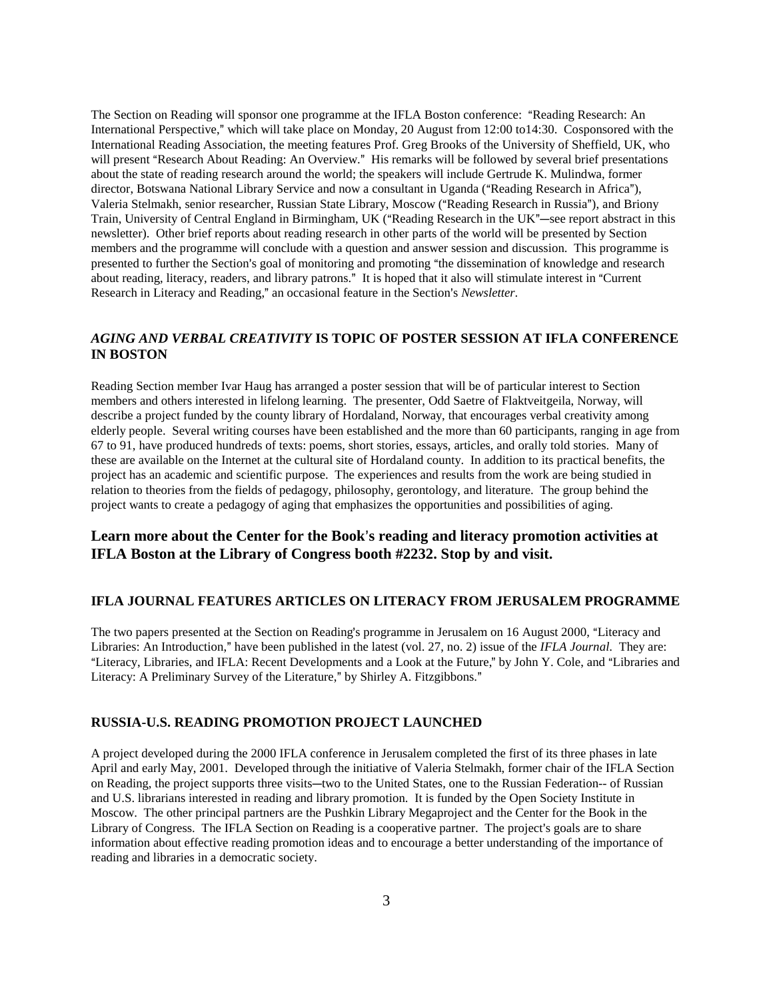The Section on Reading will sponsor one programme at the IFLA Boston conference: "Reading Research: An International Perspective," which will take place on Monday, 20 August from 12:00 to14:30. Cosponsored with the International Reading Association, the meeting features Prof. Greg Brooks of the University of Sheffield, UK, who will present "Research About Reading: An Overview." His remarks will be followed by several brief presentations about the state of reading research around the world; the speakers will include Gertrude K. Mulindwa, former director, Botswana National Library Service and now a consultant in Uganda ("Reading Research in Africa"), Valeria Stelmakh, senior researcher, Russian State Library, Moscow ("Reading Research in Russia"), and Briony Train, University of Central England in Birmingham, UK ("Reading Research in the UK"—see report abstract in this newsletter). Other brief reports about reading research in other parts of the world will be presented by Section members and the programme will conclude with a question and answer session and discussion. This programme is presented to further the Section's goal of monitoring and promoting "the dissemination of knowledge and research about reading, literacy, readers, and library patrons." It is hoped that it also will stimulate interest in "Current Research in Literacy and Reading," an occasional feature in the Section's *Newsletter*.

## *AGING AND VERBAL CREATIVITY* **IS TOPIC OF POSTER SESSION AT IFLA CONFERENCE IN BOSTON**

Reading Section member Ivar Haug has arranged a poster session that will be of particular interest to Section members and others interested in lifelong learning. The presenter, Odd Saetre of Flaktveitgeila, Norway, will describe a project funded by the county library of Hordaland, Norway, that encourages verbal creativity among elderly people. Several writing courses have been established and the more than 60 participants, ranging in age from 67 to 91, have produced hundreds of texts: poems, short stories, essays, articles, and orally told stories. Many of these are available on the Internet at the cultural site of Hordaland county. In addition to its practical benefits, the project has an academic and scientific purpose. The experiences and results from the work are being studied in relation to theories from the fields of pedagogy, philosophy, gerontology, and literature. The group behind the project wants to create a pedagogy of aging that emphasizes the opportunities and possibilities of aging.

# **Learn more about the Center for the Book s reading and literacy promotion activities at IFLA Boston at the Library of Congress booth #2232. Stop by and visit.**

#### **IFLA JOURNAL FEATURES ARTICLES ON LITERACY FROM JERUSALEM PROGRAMME**

The two papers presented at the Section on Reading's programme in Jerusalem on 16 August 2000, "Literacy and Libraries: An Introduction," have been published in the latest (vol. 27, no. 2) issue of the *IFLA Journal*. They are: "Literacy, Libraries, and IFLA: Recent Developments and a Look at the Future," by John Y. Cole, and "Libraries and Literacy: A Preliminary Survey of the Literature," by Shirley A. Fitzgibbons."

### **RUSSIA-U.S. READING PROMOTION PROJECT LAUNCHED**

A project developed during the 2000 IFLA conference in Jerusalem completed the first of its three phases in late April and early May, 2001. Developed through the initiative of Valeria Stelmakh, former chair of the IFLA Section on Reading, the project supports three visits—two to the United States, one to the Russian Federation-- of Russian and U.S. librarians interested in reading and library promotion. It is funded by the Open Society Institute in Moscow. The other principal partners are the Pushkin Library Megaproject and the Center for the Book in the Library of Congress. The IFLA Section on Reading is a cooperative partner. The project's goals are to share information about effective reading promotion ideas and to encourage a better understanding of the importance of reading and libraries in a democratic society.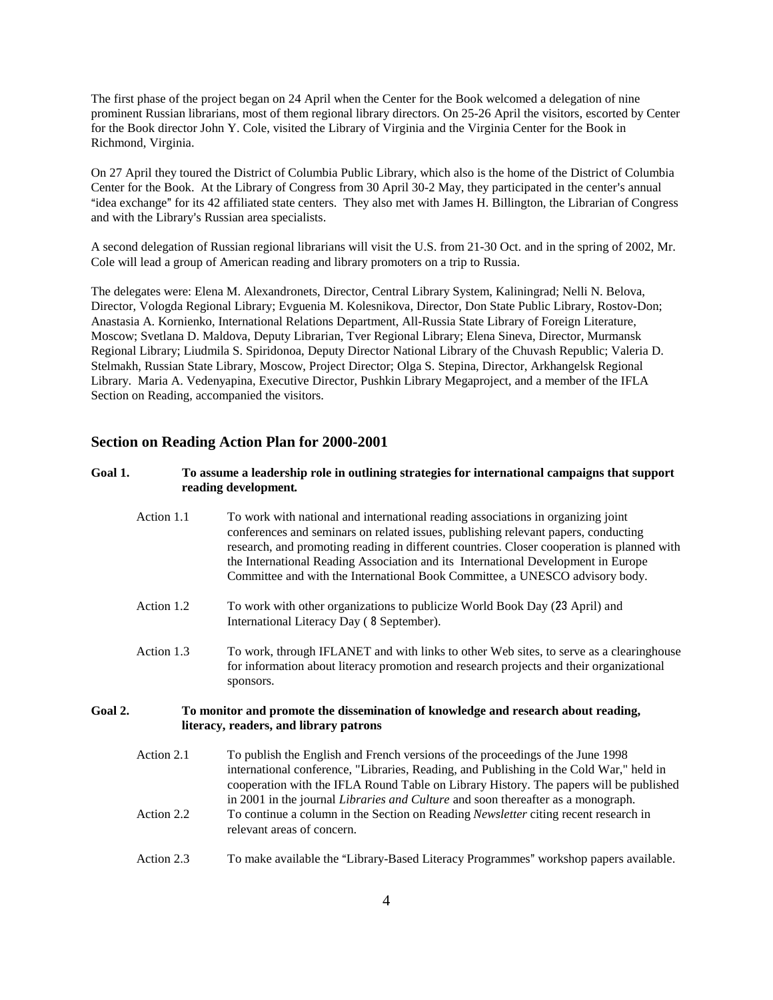The first phase of the project began on 24 April when the Center for the Book welcomed a delegation of nine prominent Russian librarians, most of them regional library directors. On 25-26 April the visitors, escorted by Center for the Book director John Y. Cole, visited the Library of Virginia and the Virginia Center for the Book in Richmond, Virginia.

On 27 April they toured the District of Columbia Public Library, which also is the home of the District of Columbia Center for the Book. At the Library of Congress from 30 April 30-2 May, they participated in the center's annual "idea exchange" for its 42 affiliated state centers. They also met with James H. Billington, the Librarian of Congress and with the Library's Russian area specialists.

A second delegation of Russian regional librarians will visit the U.S. from 21-30 Oct. and in the spring of 2002, Mr. Cole will lead a group of American reading and library promoters on a trip to Russia.

The delegates were: Elena M. Alexandronets, Director, Central Library System, Kaliningrad; Nelli N. Belova, Director, Vologda Regional Library; Evguenia M. Kolesnikova, Director, Don State Public Library, Rostov-Don; Anastasia A. Kornienko, International Relations Department, All-Russia State Library of Foreign Literature, Moscow; Svetlana D. Maldova, Deputy Librarian, Tver Regional Library; Elena Sineva, Director, Murmansk Regional Library; Liudmila S. Spiridonoa, Deputy Director National Library of the Chuvash Republic; Valeria D. Stelmakh, Russian State Library, Moscow, Project Director; Olga S. Stepina, Director, Arkhangelsk Regional Library. Maria A. Vedenyapina, Executive Director, Pushkin Library Megaproject, and a member of the IFLA Section on Reading, accompanied the visitors.

#### **Section on Reading Action Plan for 2000-2001**

#### **Goal 1. To assume a leadership role in outlining strategies for international campaigns that support reading development***.*

- Action 1.1 To work with national and international reading associations in organizing joint conferences and seminars on related issues, publishing relevant papers, conducting research, and promoting reading in different countries. Closer cooperation is planned with the International Reading Association and its International Development in Europe Committee and with the International Book Committee, a UNESCO advisory body.
- Action 1.2 To work with other organizations to publicize World Book Day (23 April) and International Literacy Day ( September).
- Action 1.3 To work, through IFLANET and with links to other Web sites, to serve as a clearinghouse for information about literacy promotion and research projects and their organizational sponsors.

#### **Goal 2. To monitor and promote the dissemination of knowledge and research about reading, literacy, readers, and library patrons**

- Action 2.1 To publish the English and French versions of the proceedings of the June 1998 international conference, "Libraries, Reading, and Publishing in the Cold War," held in cooperation with the IFLA Round Table on Library History. The papers will be published in 2001 in the journal *Libraries and Culture* and soon thereafter as a monograph. Action 2.2 To continue a column in the Section on Reading *Newsletter* citing recent research in relevant areas of concern.
- Action 2.3 To make available the "Library-Based Literacy Programmes" workshop papers available.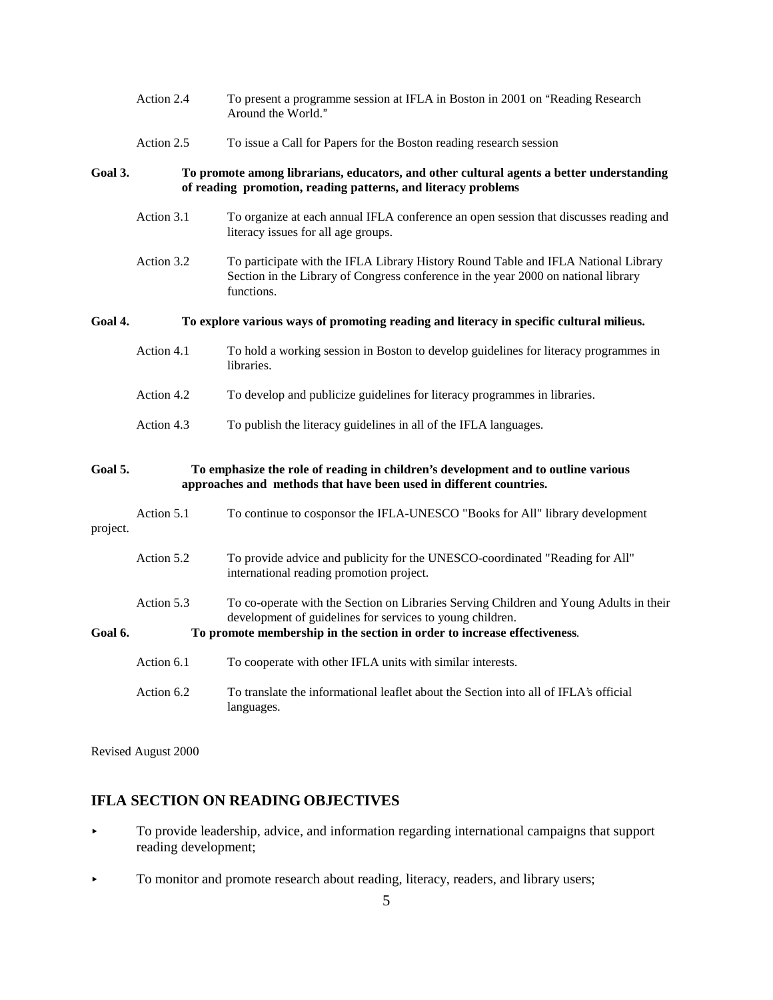|          | Action 2.4                                                                                                                                                | To present a programme session at IFLA in Boston in 2001 on "Reading Research<br>Around the World."                                                                                    |  |
|----------|-----------------------------------------------------------------------------------------------------------------------------------------------------------|----------------------------------------------------------------------------------------------------------------------------------------------------------------------------------------|--|
|          | Action 2.5                                                                                                                                                | To issue a Call for Papers for the Boston reading research session                                                                                                                     |  |
| Goal 3.  | To promote among librarians, educators, and other cultural agents a better understanding<br>of reading promotion, reading patterns, and literacy problems |                                                                                                                                                                                        |  |
|          | Action 3.1                                                                                                                                                | To organize at each annual IFLA conference an open session that discusses reading and<br>literacy issues for all age groups.                                                           |  |
|          | Action 3.2                                                                                                                                                | To participate with the IFLA Library History Round Table and IFLA National Library<br>Section in the Library of Congress conference in the year 2000 on national library<br>functions. |  |
| Goal 4.  | To explore various ways of promoting reading and literacy in specific cultural milieus.                                                                   |                                                                                                                                                                                        |  |
|          | Action 4.1                                                                                                                                                | To hold a working session in Boston to develop guidelines for literacy programmes in<br>libraries.                                                                                     |  |
|          | Action 4.2                                                                                                                                                | To develop and publicize guidelines for literacy programmes in libraries.                                                                                                              |  |
|          | Action 4.3                                                                                                                                                | To publish the literacy guidelines in all of the IFLA languages.                                                                                                                       |  |
| Goal 5.  | To emphasize the role of reading in children's development and to outline various<br>approaches and methods that have been used in different countries.   |                                                                                                                                                                                        |  |
| project. | Action 5.1                                                                                                                                                | To continue to cosponsor the IFLA-UNESCO "Books for All" library development                                                                                                           |  |
|          | Action 5.2                                                                                                                                                | To provide advice and publicity for the UNESCO-coordinated "Reading for All"<br>international reading promotion project.                                                               |  |
| Goal 6.  | Action 5.3                                                                                                                                                | To co-operate with the Section on Libraries Serving Children and Young Adults in their<br>development of guidelines for services to young children.                                    |  |
|          |                                                                                                                                                           | To promote membership in the section in order to increase effectiveness.                                                                                                               |  |
|          | Action 6.1                                                                                                                                                | To cooperate with other IFLA units with similar interests.                                                                                                                             |  |
|          | Action 6.2                                                                                                                                                | To translate the informational leaflet about the Section into all of IFLA's official<br>languages.                                                                                     |  |

Revised August 2000

# **IFLA SECTION ON READING OBJECTIVES**

- < To provide leadership, advice, and information regarding international campaigns that support reading development;
- To monitor and promote research about reading, literacy, readers, and library users;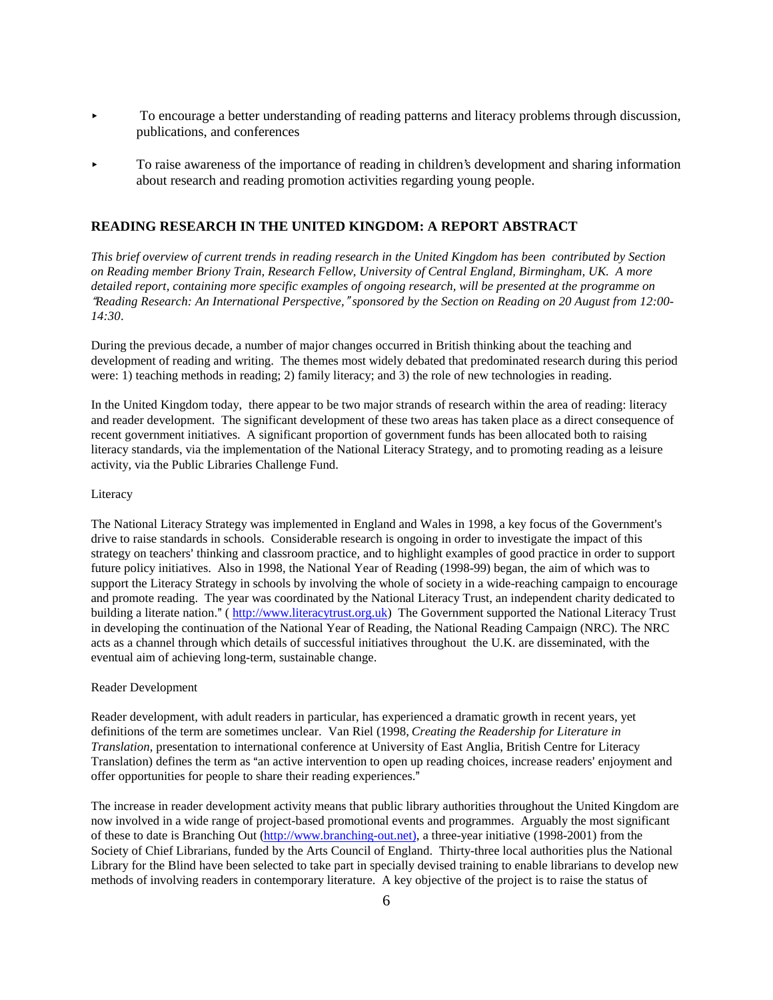- $\triangleright$  To encourage a better understanding of reading patterns and literacy problems through discussion, publications, and conferences
- < To raise awareness of the importance of reading in children's development and sharing information about research and reading promotion activities regarding young people.

#### **READING RESEARCH IN THE UNITED KINGDOM: A REPORT ABSTRACT**

*This brief overview of current trends in reading research in the United Kingdom has been contributed by Section on Reading member Briony Train, Research Fellow, University of Central England, Birmingham, UK. A more detailed report, containing more specific examples of ongoing research, will be presented at the programme on* \$*Reading Research: An International Perspective,*# *sponsored by the Section on Reading on 20 August from 12:00- 14:30*.

During the previous decade, a number of major changes occurred in British thinking about the teaching and development of reading and writing. The themes most widely debated that predominated research during this period were: 1) teaching methods in reading; 2) family literacy; and 3) the role of new technologies in reading.

In the United Kingdom today, there appear to be two major strands of research within the area of reading: literacy and reader development. The significant development of these two areas has taken place as a direct consequence of recent government initiatives. A significant proportion of government funds has been allocated both to raising literacy standards, via the implementation of the National Literacy Strategy, and to promoting reading as a leisure activity, via the Public Libraries Challenge Fund.

#### Literacy

The National Literacy Strategy was implemented in England and Wales in 1998, a key focus of the Government's drive to raise standards in schools. Considerable research is ongoing in order to investigate the impact of this strategy on teachers' thinking and classroom practice, and to highlight examples of good practice in order to support future policy initiatives. Also in 1998, the National Year of Reading (1998-99) began, the aim of which was to support the Literacy Strategy in schools by involving the whole of society in a wide-reaching campaign to encourage and promote reading. The year was coordinated by the National Literacy Trust, an independent charity dedicated to building a literate nation." (http://www.literacytrust.org.uk) The Government supported the National Literacy Trust in developing the continuation of the National Year of Reading, the National Reading Campaign (NRC). The NRC acts as a channel through which details of successful initiatives throughout the U.K. are disseminated, with the eventual aim of achieving long-term, sustainable change.

#### Reader Development

Reader development, with adult readers in particular, has experienced a dramatic growth in recent years, yet definitions of the term are sometimes unclear. Van Riel (1998, *Creating the Readership for Literature in Translation*, presentation to international conference at University of East Anglia, British Centre for Literacy Translation) defines the term as "an active intervention to open up reading choices, increase readers' enjoyment and offer opportunities for people to share their reading experiences."

The increase in reader development activity means that public library authorities throughout the United Kingdom are now involved in a wide range of project-based promotional events and programmes. Arguably the most significant of these to date is Branching Out (http://www.branching-out.net), a three-year initiative (1998-2001) from the Society of Chief Librarians, funded by the Arts Council of England. Thirty-three local authorities plus the National Library for the Blind have been selected to take part in specially devised training to enable librarians to develop new methods of involving readers in contemporary literature. A key objective of the project is to raise the status of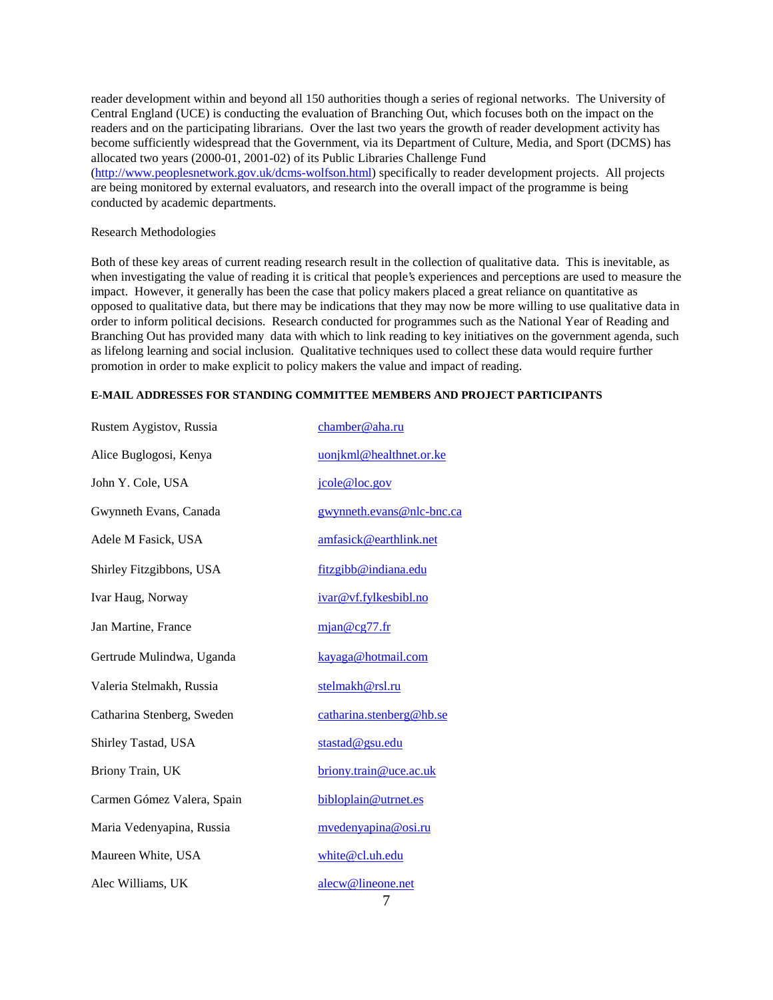reader development within and beyond all 150 authorities though a series of regional networks. The University of Central England (UCE) is conducting the evaluation of Branching Out, which focuses both on the impact on the readers and on the participating librarians. Over the last two years the growth of reader development activity has become sufficiently widespread that the Government, via its Department of Culture, Media, and Sport (DCMS) has allocated two years (2000-01, 2001-02) of its Public Libraries Challenge Fund (http://www.peoplesnetwork.gov.uk/dcms-wolfson.html) specifically to reader development projects. All projects are being monitored by external evaluators, and research into the overall impact of the programme is being conducted by academic departments.

#### Research Methodologies

Both of these key areas of current reading research result in the collection of qualitative data. This is inevitable, as when investigating the value of reading it is critical that people's experiences and perceptions are used to measure the impact. However, it generally has been the case that policy makers placed a great reliance on quantitative as opposed to qualitative data, but there may be indications that they may now be more willing to use qualitative data in order to inform political decisions. Research conducted for programmes such as the National Year of Reading and Branching Out has provided many data with which to link reading to key initiatives on the government agenda, such as lifelong learning and social inclusion. Qualitative techniques used to collect these data would require further promotion in order to make explicit to policy makers the value and impact of reading.

#### **E-MAIL ADDRESSES FOR STANDING COMMITTEE MEMBERS AND PROJECT PARTICIPANTS**

| Rustem Aygistov, Russia    | chamber@aha.ru            |
|----------------------------|---------------------------|
| Alice Buglogosi, Kenya     | uonjkml@healthnet.or.ke   |
| John Y. Cole, USA          | jcole@loc.gov             |
| Gwynneth Evans, Canada     | gwynneth.evans@nlc-bnc.ca |
| Adele M Fasick, USA        | amfasick@earthlink.net    |
| Shirley Fitzgibbons, USA   | fitzgibb@indiana.edu      |
| Ivar Haug, Norway          | ivar@vf.fylkesbibl.no     |
| Jan Martine, France        | mjan@cg77.fr              |
| Gertrude Mulindwa, Uganda  | kayaga@hotmail.com        |
| Valeria Stelmakh, Russia   | stelmakh@rsl.ru           |
| Catharina Stenberg, Sweden | catharina.stenberg@hb.se  |
| Shirley Tastad, USA        | stastad@gsu.edu           |
| Briony Train, UK           | briony.train@uce.ac.uk    |
| Carmen Gómez Valera, Spain | bibloplain@utrnet.es      |
| Maria Vedenyapina, Russia  | mvedenyapina@osi.ru       |
| Maureen White, USA         | white@cl.uh.edu           |
| Alec Williams, UK          | alecw@lineone.net<br>7    |